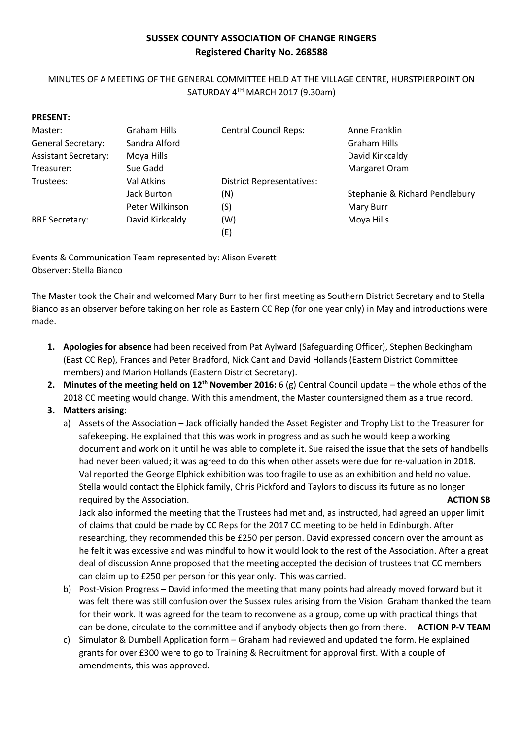# **SUSSEX COUNTY ASSOCIATION OF CHANGE RINGERS Registered Charity No. 268588**

## MINUTES OF A MEETING OF THE GENERAL COMMITTEE HELD AT THE VILLAGE CENTRE, HURSTPIERPOINT ON SATURDAY 4TH MARCH 2017 (9.30am)

| PRESENT:                    |                 |                                  |                                |
|-----------------------------|-----------------|----------------------------------|--------------------------------|
| Master:                     | Graham Hills    | <b>Central Council Reps:</b>     | Anne Franklin                  |
| <b>General Secretary:</b>   | Sandra Alford   |                                  | Graham Hills                   |
| <b>Assistant Secretary:</b> | Moya Hills      |                                  | David Kirkcaldy                |
| Treasurer:                  | Sue Gadd        |                                  | Margaret Oram                  |
| Trustees:                   | Val Atkins      | <b>District Representatives:</b> |                                |
|                             | Jack Burton     | (N)                              | Stephanie & Richard Pendlebury |
|                             | Peter Wilkinson | (S)                              | Mary Burr                      |
| <b>BRF Secretary:</b>       | David Kirkcaldy | (W)                              | Moya Hills                     |
|                             |                 | (E)                              |                                |

Events & Communication Team represented by: Alison Everett Observer: Stella Bianco

The Master took the Chair and welcomed Mary Burr to her first meeting as Southern District Secretary and to Stella Bianco as an observer before taking on her role as Eastern CC Rep (for one year only) in May and introductions were made.

- **1. Apologies for absence** had been received from Pat Aylward (Safeguarding Officer), Stephen Beckingham (East CC Rep), Frances and Peter Bradford, Nick Cant and David Hollands (Eastern District Committee members) and Marion Hollands (Eastern District Secretary).
- **2. Minutes of the meeting held on 12th November 2016:** 6 (g) Central Council update the whole ethos of the 2018 CC meeting would change. With this amendment, the Master countersigned them as a true record.
- **3. Matters arising:**

**PRESENT:**

a) Assets of the Association – Jack officially handed the Asset Register and Trophy List to the Treasurer for safekeeping. He explained that this was work in progress and as such he would keep a working document and work on it until he was able to complete it. Sue raised the issue that the sets of handbells had never been valued; it was agreed to do this when other assets were due for re-valuation in 2018. Val reported the George Elphick exhibition was too fragile to use as an exhibition and held no value. Stella would contact the Elphick family, Chris Pickford and Taylors to discuss its future as no longer required by the Association. **ACTION SB**

Jack also informed the meeting that the Trustees had met and, as instructed, had agreed an upper limit of claims that could be made by CC Reps for the 2017 CC meeting to be held in Edinburgh. After researching, they recommended this be £250 per person. David expressed concern over the amount as he felt it was excessive and was mindful to how it would look to the rest of the Association. After a great deal of discussion Anne proposed that the meeting accepted the decision of trustees that CC members can claim up to £250 per person for this year only. This was carried.

- b) Post-Vision Progress David informed the meeting that many points had already moved forward but it was felt there was still confusion over the Sussex rules arising from the Vision. Graham thanked the team for their work. It was agreed for the team to reconvene as a group, come up with practical things that can be done, circulate to the committee and if anybody objects then go from there. **ACTION P-V TEAM**
- c) Simulator & Dumbell Application form Graham had reviewed and updated the form. He explained grants for over £300 were to go to Training & Recruitment for approval first. With a couple of amendments, this was approved.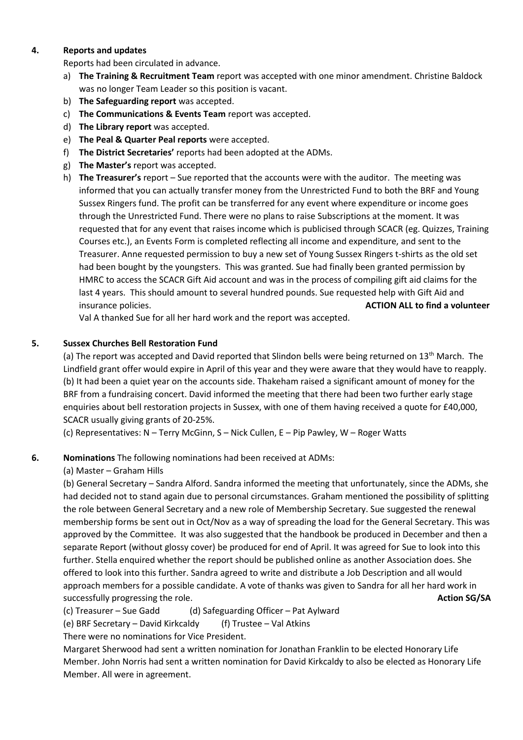#### **4. Reports and updates**

Reports had been circulated in advance.

- a) **The Training & Recruitment Team** report was accepted with one minor amendment. Christine Baldock was no longer Team Leader so this position is vacant.
- b) **The Safeguarding report** was accepted.
- c) **The Communications & Events Team** report was accepted.
- d) **The Library report** was accepted.
- e) **The Peal & Quarter Peal reports** were accepted.
- f) **The District Secretaries'** reports had been adopted at the ADMs.
- g) **The Master's** report was accepted.
- h) **The Treasurer's** report Sue reported that the accounts were with the auditor. The meeting was informed that you can actually transfer money from the Unrestricted Fund to both the BRF and Young Sussex Ringers fund. The profit can be transferred for any event where expenditure or income goes through the Unrestricted Fund. There were no plans to raise Subscriptions at the moment. It was requested that for any event that raises income which is publicised through SCACR (eg. Quizzes, Training Courses etc.), an Events Form is completed reflecting all income and expenditure, and sent to the Treasurer. Anne requested permission to buy a new set of Young Sussex Ringers t-shirts as the old set had been bought by the youngsters. This was granted. Sue had finally been granted permission by HMRC to access the SCACR Gift Aid account and was in the process of compiling gift aid claims for the last 4 years. This should amount to several hundred pounds. Sue requested help with Gift Aid and insurance policies. **ACTION ALL to find a volunteer**

Val A thanked Sue for all her hard work and the report was accepted.

## **5. Sussex Churches Bell Restoration Fund**

(a) The report was accepted and David reported that Slindon bells were being returned on  $13<sup>th</sup>$  March. The Lindfield grant offer would expire in April of this year and they were aware that they would have to reapply. (b) It had been a quiet year on the accounts side. Thakeham raised a significant amount of money for the BRF from a fundraising concert. David informed the meeting that there had been two further early stage enquiries about bell restoration projects in Sussex, with one of them having received a quote for £40,000, SCACR usually giving grants of 20-25%.

(c) Representatives: N – Terry McGinn, S – Nick Cullen, E – Pip Pawley, W – Roger Watts

## **6. Nominations** The following nominations had been received at ADMs:

(a) Master – Graham Hills

(b) General Secretary – Sandra Alford. Sandra informed the meeting that unfortunately, since the ADMs, she had decided not to stand again due to personal circumstances. Graham mentioned the possibility of splitting the role between General Secretary and a new role of Membership Secretary. Sue suggested the renewal membership forms be sent out in Oct/Nov as a way of spreading the load for the General Secretary. This was approved by the Committee. It was also suggested that the handbook be produced in December and then a separate Report (without glossy cover) be produced for end of April. It was agreed for Sue to look into this further. Stella enquired whether the report should be published online as another Association does. She offered to look into this further. Sandra agreed to write and distribute a Job Description and all would approach members for a possible candidate. A vote of thanks was given to Sandra for all her hard work in successfully progressing the role. **Action SG/SA** and the role of the role of the role of the role of the role of the role of the role of the role of the role of the role of the role of the role of the role of the role of

- (c) Treasurer Sue Gadd (d) Safeguarding Officer Pat Aylward
- (e) BRF Secretary David Kirkcaldy (f) Trustee Val Atkins

There were no nominations for Vice President.

Margaret Sherwood had sent a written nomination for Jonathan Franklin to be elected Honorary Life Member. John Norris had sent a written nomination for David Kirkcaldy to also be elected as Honorary Life Member. All were in agreement.